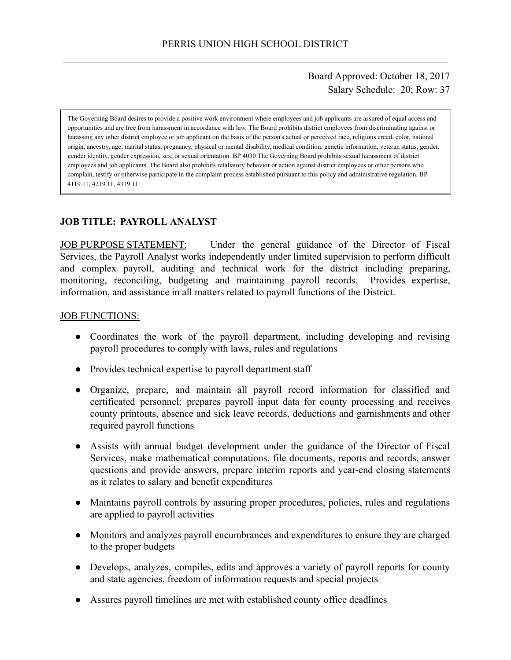Board Approved: October 18, 2017 Salary Schedule: 20; Row: 37

The Governing Board desires to provide a positive work environment where employees and job applicants are assured of equal access and opportunities and are free from harassment in accordance with law. The Board prohibits district employees from discriminating against or harassing any other district employee or job applicant on the basis of the person's actual or perceived race, religious creed, color, national origin, ancestry, age, marital status, pregnancy, physical or mental disability, medical condition, genetic information, veteran status, gender, gender identity, gender expression, sex, or sexual orientation. BP 4030 The Governing Board prohibits sexual harassment of district employees and job applicants. The Board also prohibits retaliatory behavior or action against district employees or other persons who complain, testify or otherwise participate in the complaint process established pursuant to this policy and administrative regulation. BP 4119.11, 4219.11, 4319.11

# **JOB TITLE: PAYROLL ANALYST**

JOB PURPOSE STATEMENT: Under the general guidance of the Director of Fiscal Services, the Payroll Analyst works independently under limited supervision to perform difficult and complex payroll, auditing and technical work for the district including preparing, monitoring, reconciling, budgeting and maintaining payroll records. Provides expertise, information, and assistance in all matters related to payroll functions of the District.

### JOB FUNCTIONS:

- Coordinates the work of the payroll department, including developing and revising payroll procedures to comply with laws, rules and regulations
- Provides technical expertise to payroll department staff
- Organize, prepare, and maintain all payroll record information for classified and certificated personnel; prepares payroll input data for county processing and receives county printouts, absence and sick leave records, deductions and garnishments and other required payroll functions
- Assists with annual budget development under the guidance of the Director of Fiscal Services, make mathematical computations, file documents, reports and records, answer questions and provide answers, prepare interim reports and year-end closing statements as it relates to salary and benefit expenditures
- Maintains payroll controls by assuring proper procedures, policies, rules and regulations are applied to payroll activities
- Monitors and analyzes payroll encumbrances and expenditures to ensure they are charged to the proper budgets
- Develops, analyzes, compiles, edits and approves a variety of payroll reports for county and state agencies, freedom of information requests and special projects
- Assures payroll timelines are met with established county office deadlines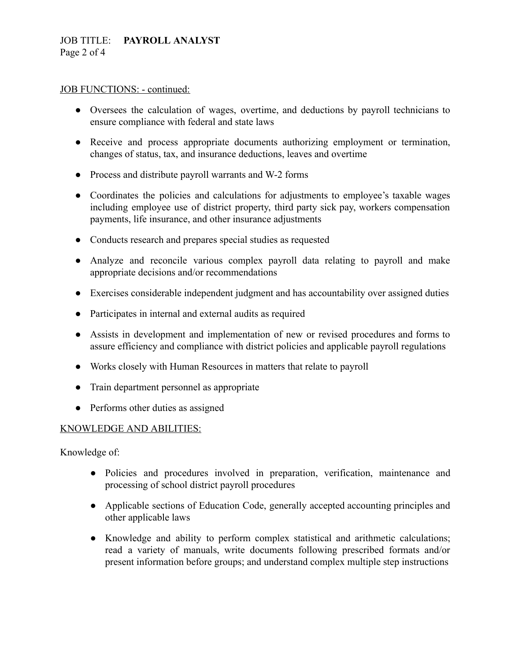## JOB TITLE: **PAYROLL ANALYST** Page 2 of 4

#### JOB FUNCTIONS: - continued:

- Oversees the calculation of wages, overtime, and deductions by payroll technicians to ensure compliance with federal and state laws
- Receive and process appropriate documents authorizing employment or termination, changes of status, tax, and insurance deductions, leaves and overtime
- Process and distribute payroll warrants and W-2 forms
- Coordinates the policies and calculations for adjustments to employee's taxable wages including employee use of district property, third party sick pay, workers compensation payments, life insurance, and other insurance adjustments
- Conducts research and prepares special studies as requested
- Analyze and reconcile various complex payroll data relating to payroll and make appropriate decisions and/or recommendations
- Exercises considerable independent judgment and has accountability over assigned duties
- Participates in internal and external audits as required
- Assists in development and implementation of new or revised procedures and forms to assure efficiency and compliance with district policies and applicable payroll regulations
- Works closely with Human Resources in matters that relate to payroll
- Train department personnel as appropriate
- Performs other duties as assigned

### KNOWLEDGE AND ABILITIES:

Knowledge of:

- Policies and procedures involved in preparation, verification, maintenance and processing of school district payroll procedures
- Applicable sections of Education Code, generally accepted accounting principles and other applicable laws
- Knowledge and ability to perform complex statistical and arithmetic calculations; read a variety of manuals, write documents following prescribed formats and/or present information before groups; and understand complex multiple step instructions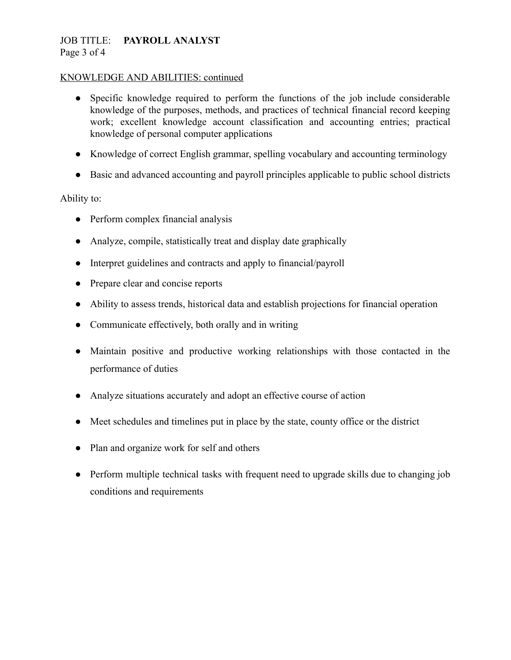## JOB TITLE: **PAYROLL ANALYST** Page 3 of 4

### KNOWLEDGE AND ABILITIES: continued

- Specific knowledge required to perform the functions of the job include considerable knowledge of the purposes, methods, and practices of technical financial record keeping work; excellent knowledge account classification and accounting entries; practical knowledge of personal computer applications
- Knowledge of correct English grammar, spelling vocabulary and accounting terminology
- Basic and advanced accounting and payroll principles applicable to public school districts

### Ability to:

- Perform complex financial analysis
- Analyze, compile, statistically treat and display date graphically
- Interpret guidelines and contracts and apply to financial/payroll
- Prepare clear and concise reports
- Ability to assess trends, historical data and establish projections for financial operation
- Communicate effectively, both orally and in writing
- Maintain positive and productive working relationships with those contacted in the performance of duties
- Analyze situations accurately and adopt an effective course of action
- Meet schedules and timelines put in place by the state, county office or the district
- Plan and organize work for self and others
- Perform multiple technical tasks with frequent need to upgrade skills due to changing job conditions and requirements